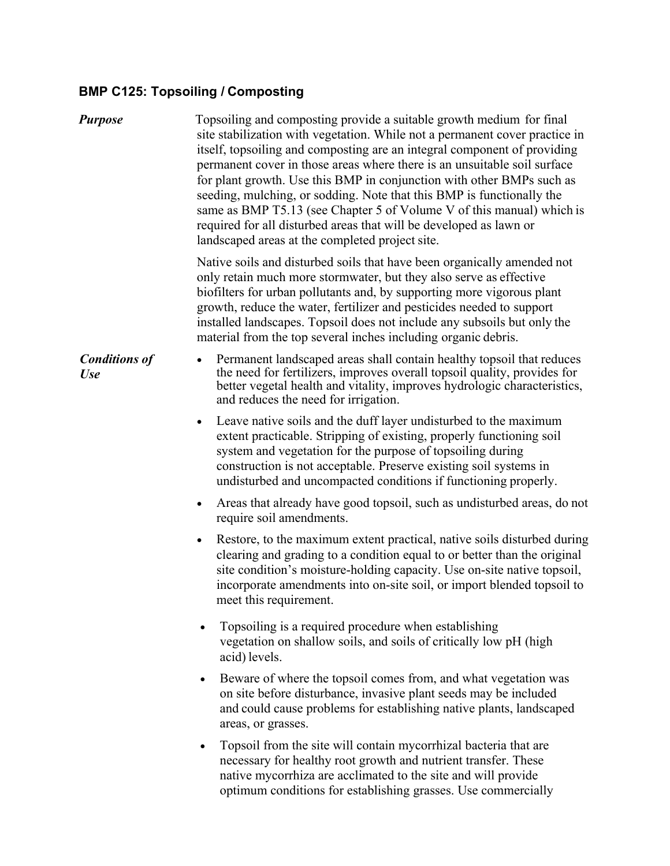## **BMP C125: Topsoiling / Composting**

| <b>Purpose</b>                     | Topsoiling and composting provide a suitable growth medium for final<br>site stabilization with vegetation. While not a permanent cover practice in<br>itself, topsoiling and composting are an integral component of providing<br>permanent cover in those areas where there is an unsuitable soil surface<br>for plant growth. Use this BMP in conjunction with other BMPs such as<br>seeding, mulching, or sodding. Note that this BMP is functionally the<br>same as BMP T5.13 (see Chapter 5 of Volume V of this manual) which is<br>required for all disturbed areas that will be developed as lawn or<br>landscaped areas at the completed project site. |
|------------------------------------|-----------------------------------------------------------------------------------------------------------------------------------------------------------------------------------------------------------------------------------------------------------------------------------------------------------------------------------------------------------------------------------------------------------------------------------------------------------------------------------------------------------------------------------------------------------------------------------------------------------------------------------------------------------------|
|                                    | Native soils and disturbed soils that have been organically amended not<br>only retain much more stormwater, but they also serve as effective<br>biofilters for urban pollutants and, by supporting more vigorous plant<br>growth, reduce the water, fertilizer and pesticides needed to support<br>installed landscapes. Topsoil does not include any subsoils but only the<br>material from the top several inches including organic debris.                                                                                                                                                                                                                  |
| <b>Conditions of</b><br><b>Use</b> | Permanent landscaped areas shall contain healthy topsoil that reduces<br>$\bullet$<br>the need for fertilizers, improves overall topsoil quality, provides for<br>better vegetal health and vitality, improves hydrologic characteristics,<br>and reduces the need for irrigation.                                                                                                                                                                                                                                                                                                                                                                              |
|                                    | Leave native soils and the duff layer undisturbed to the maximum<br>$\bullet$<br>extent practicable. Stripping of existing, properly functioning soil<br>system and vegetation for the purpose of topsoiling during<br>construction is not acceptable. Preserve existing soil systems in<br>undisturbed and uncompacted conditions if functioning properly.                                                                                                                                                                                                                                                                                                     |
|                                    | Areas that already have good topsoil, such as undisturbed areas, do not<br>$\bullet$<br>require soil amendments.                                                                                                                                                                                                                                                                                                                                                                                                                                                                                                                                                |
|                                    | Restore, to the maximum extent practical, native soils disturbed during<br>$\bullet$<br>clearing and grading to a condition equal to or better than the original<br>site condition's moisture-holding capacity. Use on-site native topsoil,<br>incorporate amendments into on-site soil, or import blended topsoil to<br>meet this requirement.                                                                                                                                                                                                                                                                                                                 |
|                                    | Topsoiling is a required procedure when establishing<br>vegetation on shallow soils, and soils of critically low pH (high<br>acid) levels.                                                                                                                                                                                                                                                                                                                                                                                                                                                                                                                      |
|                                    | Beware of where the topsoil comes from, and what vegetation was<br>$\bullet$<br>on site before disturbance, invasive plant seeds may be included<br>and could cause problems for establishing native plants, landscaped<br>areas, or grasses.                                                                                                                                                                                                                                                                                                                                                                                                                   |
|                                    | Topsoil from the site will contain mycorrhizal bacteria that are<br>٠<br>necessary for healthy root growth and nutrient transfer. These<br>native mycorrhiza are acclimated to the site and will provide<br>optimum conditions for establishing grasses. Use commercially                                                                                                                                                                                                                                                                                                                                                                                       |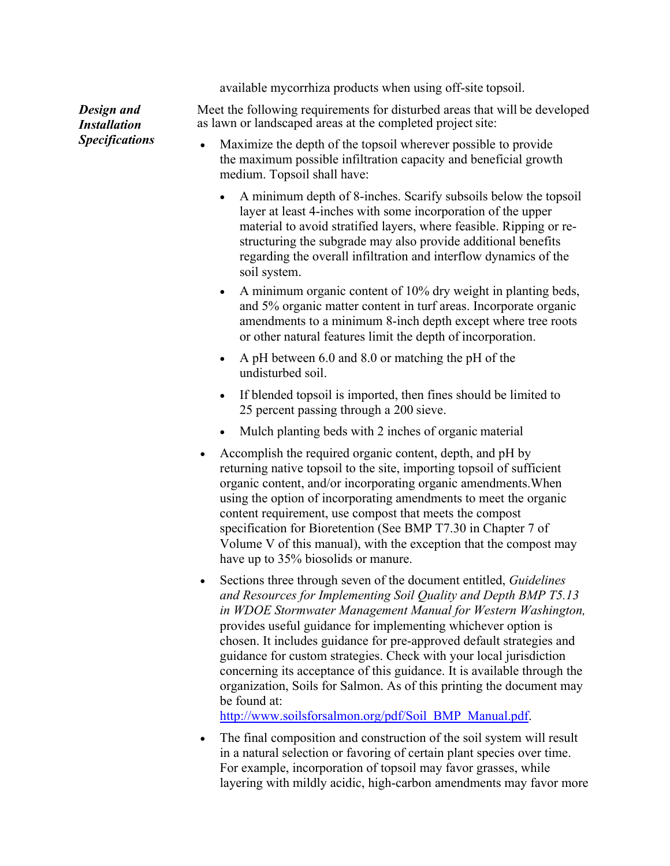available mycorrhiza products when using off-site topsoil.

*Design and Installation Specifications* Meet the following requirements for disturbed areas that will be developed as lawn or landscaped areas at the completed project site:

- Maximize the depth of the topsoil wherever possible to provide the maximum possible infiltration capacity and beneficial growth medium. Topsoil shall have:
	- A minimum depth of 8-inches. Scarify subsoils below the topsoil layer at least 4-inches with some incorporation of the upper material to avoid stratified layers, where feasible. Ripping or restructuring the subgrade may also provide additional benefits regarding the overall infiltration and interflow dynamics of the soil system.
	- A minimum organic content of 10% dry weight in planting beds, and 5% organic matter content in turf areas. Incorporate organic amendments to a minimum 8-inch depth except where tree roots or other natural features limit the depth of incorporation.
	- A pH between 6.0 and 8.0 or matching the pH of the undisturbed soil.
	- If blended topsoil is imported, then fines should be limited to 25 percent passing through a 200 sieve.
	- Mulch planting beds with 2 inches of organic material
- Accomplish the required organic content, depth, and pH by returning native topsoil to the site, importing topsoil of sufficient organic content, and/or incorporating organic amendments.When using the option of incorporating amendments to meet the organic content requirement, use compost that meets the compost specification for Bioretention (See BMP T7.30 in Chapter 7 of Volume V of this manual), with the exception that the compost may have up to 35% biosolids or manure.
- Sections three through seven of the document entitled, *Guidelines and Resources for Implementing Soil Quality and Depth BMP T5.13 in WDOE Stormwater Management Manual for Western Washington,*  provides useful guidance for implementing whichever option is chosen. It includes guidance for pre-approved default strategies and guidance for custom strategies. Check with your local jurisdiction concerning its acceptance of this guidance. It is available through the organization, Soils for Salmon. As of this printing the document may be found at:

[http://www.soilsforsalmon.org/pdf/Soil\\_BMP\\_Manual.pdf](http://www.soilsforsalmon.org/pdf/Soil_BMP_Manual.pdf).

 The final composition and construction of the soil system will result in a natural selection or favoring of certain plant species over time. For example, incorporation of topsoil may favor grasses, while layering with mildly acidic, high-carbon amendments may favor more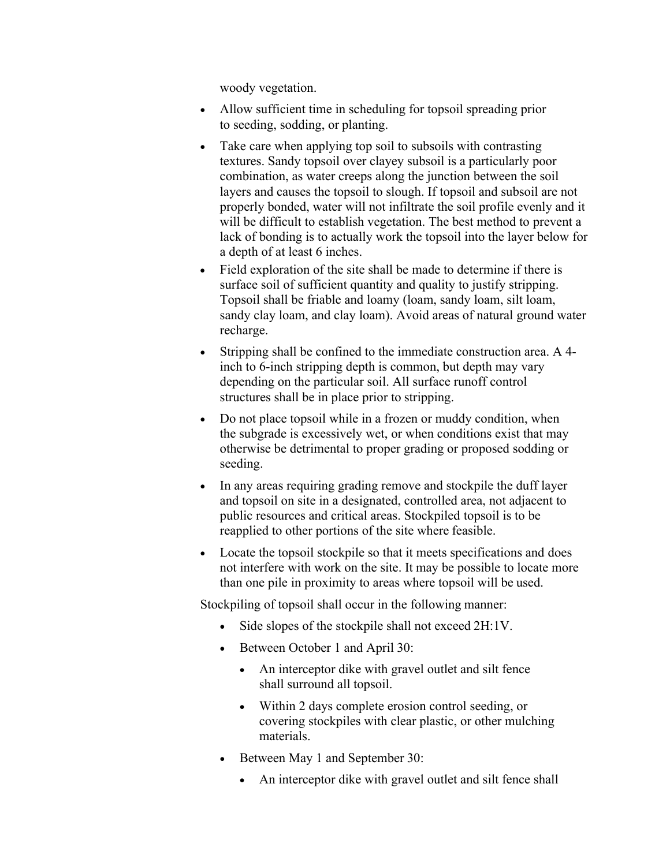woody vegetation.

- Allow sufficient time in scheduling for topsoil spreading prior to seeding, sodding, or planting.
- Take care when applying top soil to subsoils with contrasting textures. Sandy topsoil over clayey subsoil is a particularly poor combination, as water creeps along the junction between the soil layers and causes the topsoil to slough. If topsoil and subsoil are not properly bonded, water will not infiltrate the soil profile evenly and it will be difficult to establish vegetation. The best method to prevent a lack of bonding is to actually work the topsoil into the layer below for a depth of at least 6 inches.
- Field exploration of the site shall be made to determine if there is surface soil of sufficient quantity and quality to justify stripping. Topsoil shall be friable and loamy (loam, sandy loam, silt loam, sandy clay loam, and clay loam). Avoid areas of natural ground water recharge.
- Stripping shall be confined to the immediate construction area. A 4 inch to 6-inch stripping depth is common, but depth may vary depending on the particular soil. All surface runoff control structures shall be in place prior to stripping.
- Do not place topsoil while in a frozen or muddy condition, when the subgrade is excessively wet, or when conditions exist that may otherwise be detrimental to proper grading or proposed sodding or seeding.
- In any areas requiring grading remove and stockpile the duff layer and topsoil on site in a designated, controlled area, not adjacent to public resources and critical areas. Stockpiled topsoil is to be reapplied to other portions of the site where feasible.
- Locate the topsoil stockpile so that it meets specifications and does not interfere with work on the site. It may be possible to locate more than one pile in proximity to areas where topsoil will be used.

Stockpiling of topsoil shall occur in the following manner:

- Side slopes of the stockpile shall not exceed 2H:1V.
- Between October 1 and April 30:
	- An interceptor dike with gravel outlet and silt fence shall surround all topsoil.
	- Within 2 days complete erosion control seeding, or covering stockpiles with clear plastic, or other mulching materials.
- Between May 1 and September 30:
	- An interceptor dike with gravel outlet and silt fence shall